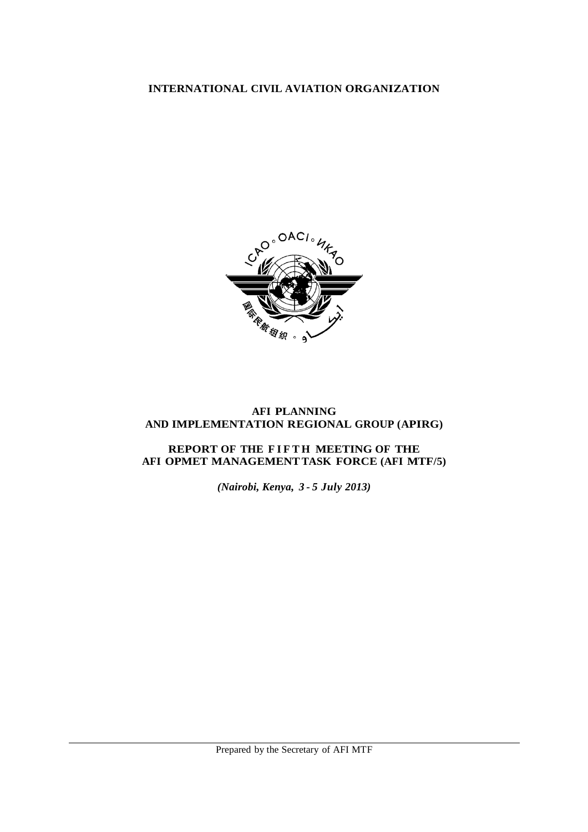# **INTERNATIONAL CIVIL AVIATION ORGANIZATION**



# **AFI PLANNING AND IMPLEMENTATION REGIONAL GROUP (APIRG)**

# **REPORT OF THE F I F T H MEETING OF THE AFI OPMET MANAGEMENTTASK FORCE (AFI MTF/5)**

*(Nairobi, Kenya, 3 - 5 July 2013)*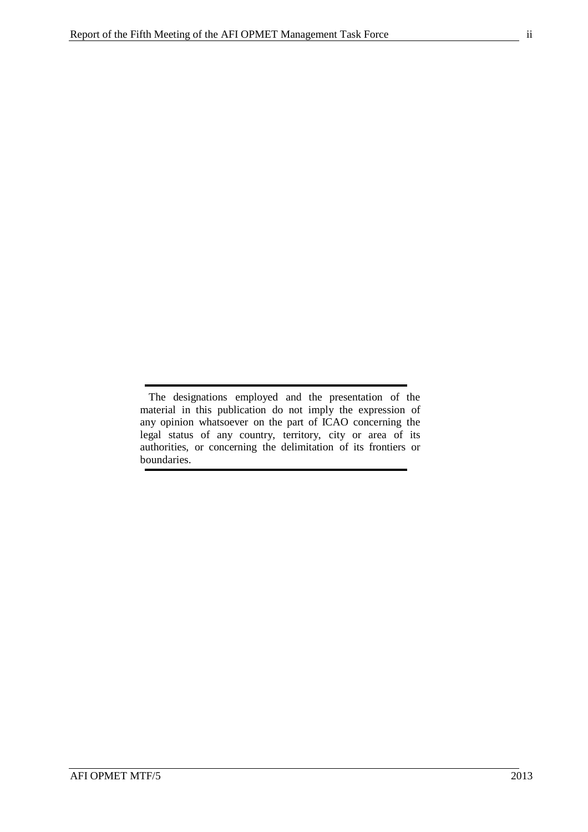The designations employed and the presentation of the material in this publication do not imply the expression of any opinion whatsoever on the part of ICAO concerning the legal status of any country, territory, city or area of its authorities, or concerning the delimitation of its frontiers or boundaries.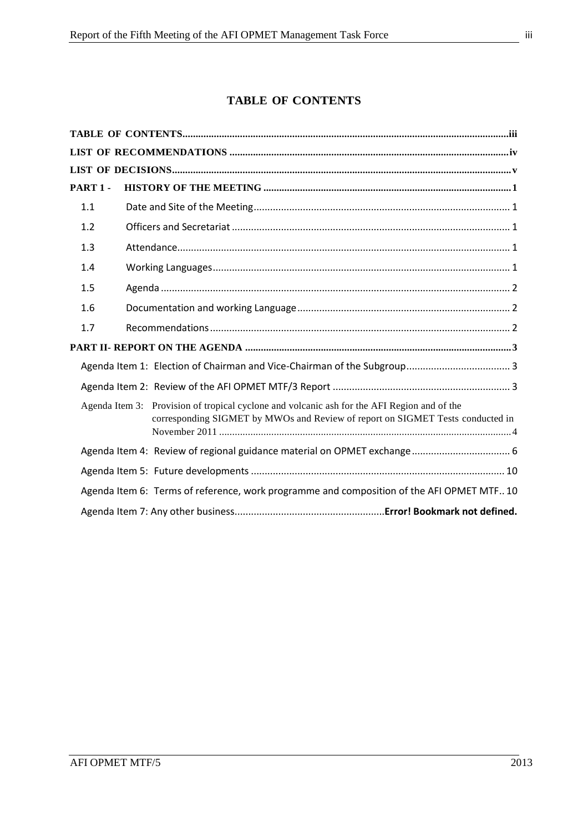# **TABLE OF CONTENTS**

<span id="page-2-0"></span>

| PART 1- |  |                                                                                                                                                                               |  |  |  |
|---------|--|-------------------------------------------------------------------------------------------------------------------------------------------------------------------------------|--|--|--|
| 1.1     |  |                                                                                                                                                                               |  |  |  |
| 1.2     |  |                                                                                                                                                                               |  |  |  |
| 1.3     |  |                                                                                                                                                                               |  |  |  |
| 1.4     |  |                                                                                                                                                                               |  |  |  |
| 1.5     |  |                                                                                                                                                                               |  |  |  |
| 1.6     |  |                                                                                                                                                                               |  |  |  |
| 1.7     |  |                                                                                                                                                                               |  |  |  |
|         |  |                                                                                                                                                                               |  |  |  |
|         |  |                                                                                                                                                                               |  |  |  |
|         |  |                                                                                                                                                                               |  |  |  |
|         |  | Agenda Item 3: Provision of tropical cyclone and volcanic ash for the AFI Region and of the<br>corresponding SIGMET by MWOs and Review of report on SIGMET Tests conducted in |  |  |  |
|         |  |                                                                                                                                                                               |  |  |  |
|         |  |                                                                                                                                                                               |  |  |  |
|         |  | Agenda Item 6: Terms of reference, work programme and composition of the AFI OPMET MTF 10                                                                                     |  |  |  |
|         |  |                                                                                                                                                                               |  |  |  |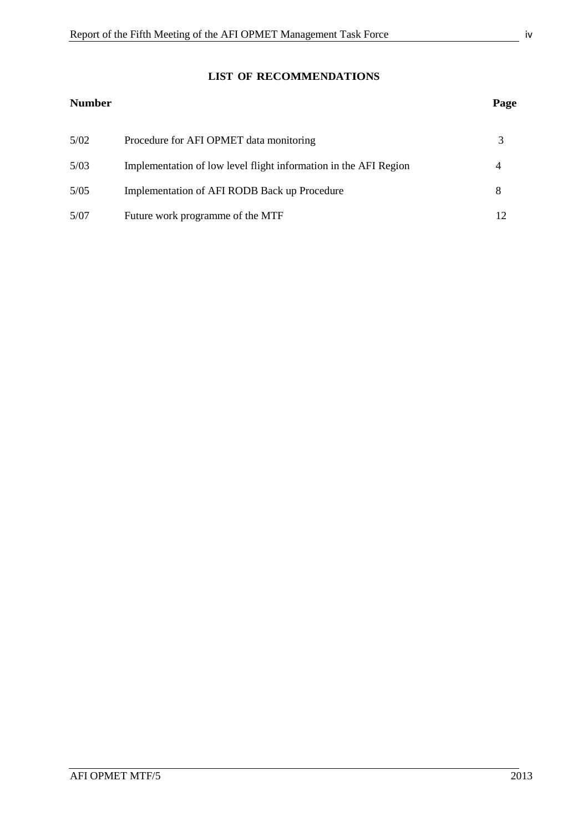# **LIST OF RECOMMENDATIONS**

# <span id="page-3-0"></span>**Number Page**

| 5/02 | Procedure for AFI OPMET data monitoring                          |  |
|------|------------------------------------------------------------------|--|
| 5/03 | Implementation of low level flight information in the AFI Region |  |
| 5/05 | Implementation of AFI RODB Back up Procedure                     |  |
| 5/07 | Future work programme of the MTF                                 |  |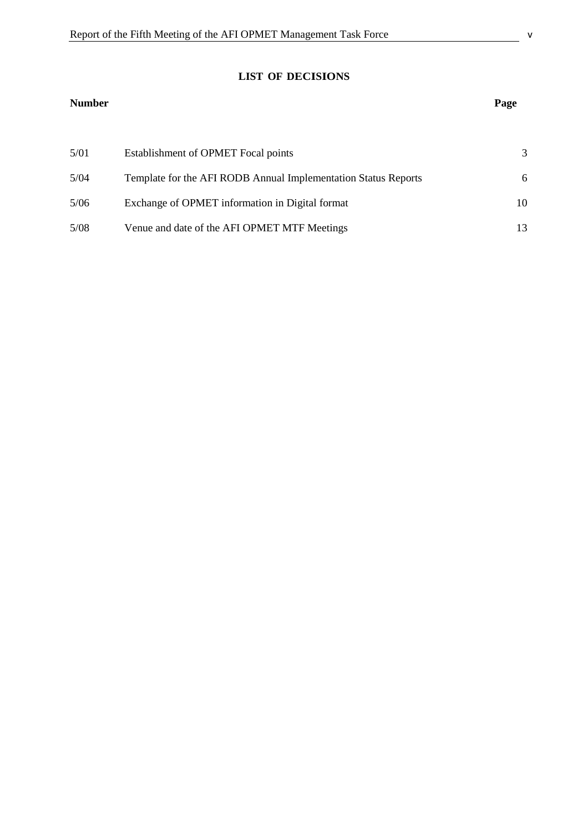# **LIST OF DECISIONS**

# <span id="page-4-0"></span>**Number Page**

| 5/01 | Establishment of OPMET Focal points                            | $\mathcal{R}$ |
|------|----------------------------------------------------------------|---------------|
| 5/04 | Template for the AFI RODB Annual Implementation Status Reports | 6             |
| 5/06 | Exchange of OPMET information in Digital format                | 10            |
| 5/08 | Venue and date of the AFI OPMET MTF Meetings                   | 13.           |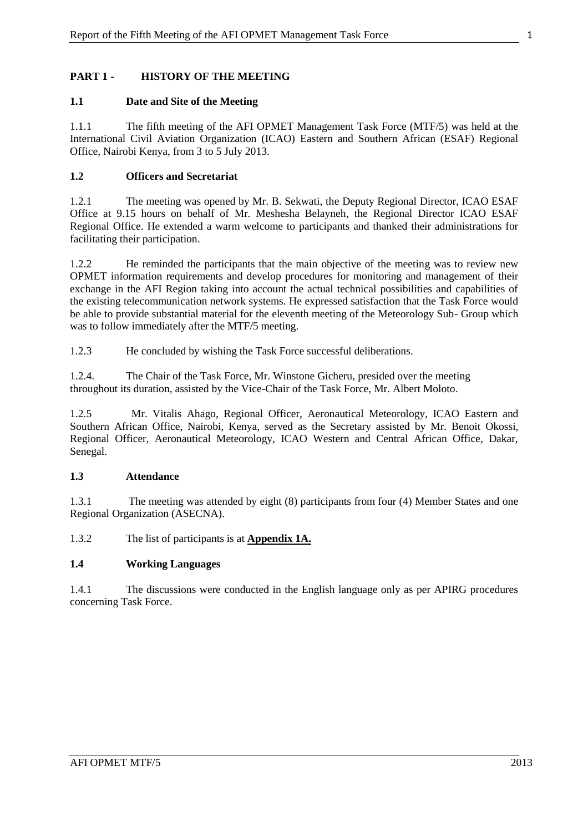# <span id="page-6-0"></span>**PART 1 - HISTORY OF THE MEETING**

# <span id="page-6-1"></span>**1.1 Date and Site of the Meeting**

1.1.1 The fifth meeting of the AFI OPMET Management Task Force (MTF/5) was held at the International Civil Aviation Organization (ICAO) Eastern and Southern African (ESAF) Regional Office, Nairobi Kenya, from 3 to 5 July 2013.

## <span id="page-6-2"></span>**1.2 Officers and Secretariat**

1.2.1 The meeting was opened by Mr. B. Sekwati, the Deputy Regional Director, ICAO ESAF Office at 9.15 hours on behalf of Mr. Meshesha Belayneh, the Regional Director ICAO ESAF Regional Office. He extended a warm welcome to participants and thanked their administrations for facilitating their participation.

1.2.2 He reminded the participants that the main objective of the meeting was to review new OPMET information requirements and develop procedures for monitoring and management of their exchange in the AFI Region taking into account the actual technical possibilities and capabilities of the existing telecommunication network systems. He expressed satisfaction that the Task Force would be able to provide substantial material for the eleventh meeting of the Meteorology Sub- Group which was to follow immediately after the MTF/5 meeting.

1.2.3 He concluded by wishing the Task Force successful deliberations.

1.2.4. The Chair of the Task Force, Mr. Winstone Gicheru, presided over the meeting throughout its duration, assisted by the Vice-Chair of the Task Force, Mr. Albert Moloto.

1.2.5 Mr. Vitalis Ahago, Regional Officer, Aeronautical Meteorology, ICAO Eastern and Southern African Office, Nairobi, Kenya, served as the Secretary assisted by Mr. Benoit Okossi, Regional Officer, Aeronautical Meteorology, ICAO Western and Central African Office, Dakar, Senegal.

#### <span id="page-6-3"></span>**1.3 Attendance**

1.3.1 The meeting was attended by eight (8) participants from four (4) Member States and one Regional Organization (ASECNA).

1.3.2 The list of participants is at **Appendix 1A.**

# <span id="page-6-4"></span>**1.4 Working Languages**

1.4.1 The discussions were conducted in the English language only as per APIRG procedures concerning Task Force.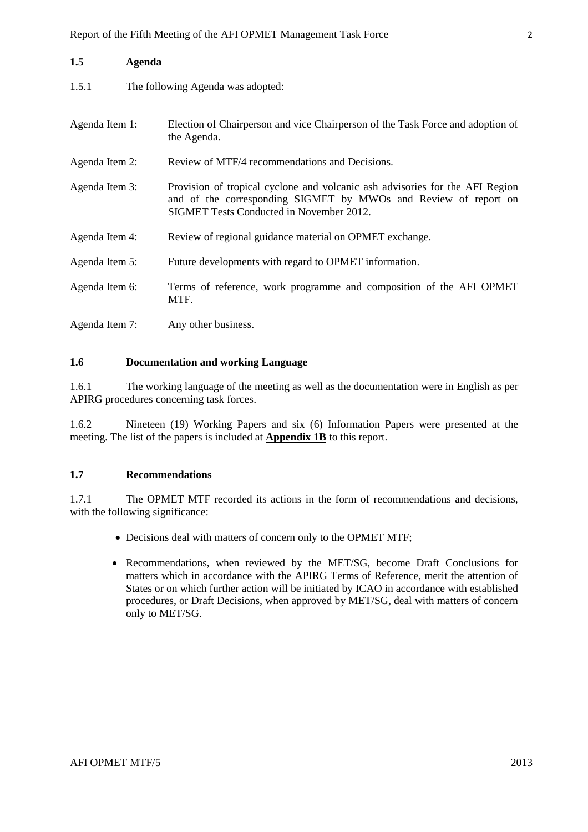|  | ٠<br> |
|--|-------|
|  |       |
|  |       |
|  |       |
|  |       |

<span id="page-7-0"></span>

| 1.5            | Agenda |                                                                                                                                                                                             |
|----------------|--------|---------------------------------------------------------------------------------------------------------------------------------------------------------------------------------------------|
| 1.5.1          |        | The following Agenda was adopted:                                                                                                                                                           |
| Agenda Item 1: |        | Election of Chairperson and vice Chairperson of the Task Force and adoption of<br>the Agenda.                                                                                               |
| Agenda Item 2: |        | Review of MTF/4 recommendations and Decisions.                                                                                                                                              |
| Agenda Item 3: |        | Provision of tropical cyclone and volcanic ash advisories for the AFI Region<br>and of the corresponding SIGMET by MWOs and Review of report on<br>SIGMET Tests Conducted in November 2012. |
| Agenda Item 4: |        | Review of regional guidance material on OPMET exchange.                                                                                                                                     |
| Agenda Item 5: |        | Future developments with regard to OPMET information.                                                                                                                                       |
| Agenda Item 6: |        | Terms of reference, work programme and composition of the AFI OPMET<br>MTF.                                                                                                                 |
| Agenda Item 7: |        | Any other business.                                                                                                                                                                         |

## <span id="page-7-1"></span>**1.6 Documentation and working Language**

1.6.1 The working language of the meeting as well as the documentation were in English as per APIRG procedures concerning task forces.

1.6.2 Nineteen (19) Working Papers and six (6) Information Papers were presented at the meeting. The list of the papers is included at **Appendix 1B** to this report.

#### <span id="page-7-2"></span>**1.7 Recommendations**

1.7.1 The OPMET MTF recorded its actions in the form of recommendations and decisions, with the following significance:

- Decisions deal with matters of concern only to the OPMET MTF;
- Recommendations, when reviewed by the MET/SG, become Draft Conclusions for matters which in accordance with the APIRG Terms of Reference, merit the attention of States or on which further action will be initiated by ICAO in accordance with established procedures, or Draft Decisions, when approved by MET/SG, deal with matters of concern only to MET/SG.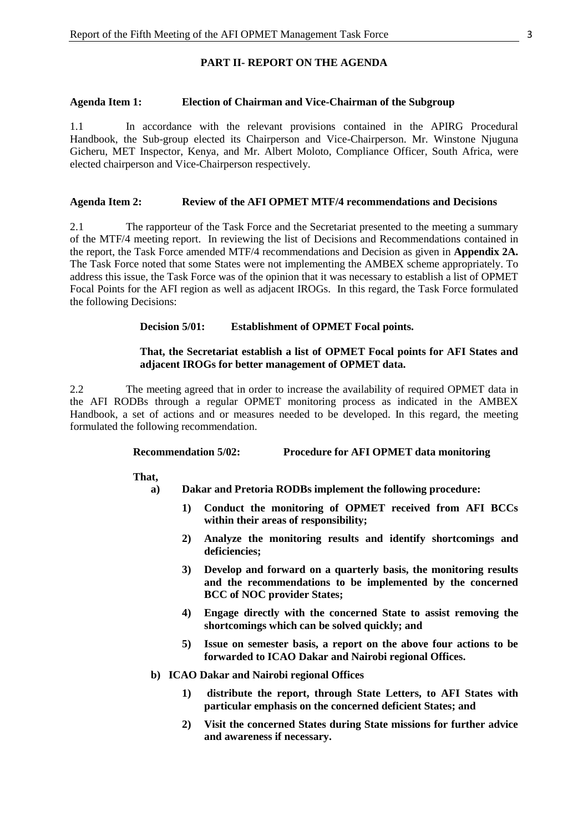## **PART II- REPORT ON THE AGENDA**

#### <span id="page-8-1"></span><span id="page-8-0"></span>**Agenda Item 1: Election of Chairman and Vice-Chairman of the Subgroup**

1.1 In accordance with the relevant provisions contained in the APIRG Procedural Handbook, the Sub-group elected its Chairperson and Vice-Chairperson. Mr. Winstone Njuguna Gicheru, MET Inspector, Kenya, and Mr. Albert Moloto, Compliance Officer, South Africa, were elected chairperson and Vice-Chairperson respectively.

#### <span id="page-8-2"></span>**Agenda Item 2: Review of the AFI OPMET MTF/4 recommendations and Decisions**

2.1 The rapporteur of the Task Force and the Secretariat presented to the meeting a summary of the MTF/4 meeting report. In reviewing the list of Decisions and Recommendations contained in the report, the Task Force amended MTF/4 recommendations and Decision as given in **Appendix 2A.** The Task Force noted that some States were not implementing the AMBEX scheme appropriately. To address this issue, the Task Force was of the opinion that it was necessary to establish a list of OPMET Focal Points for the AFI region as well as adjacent IROGs. In this regard, the Task Force formulated the following Decisions:

#### **Decision 5/01: Establishment of OPMET Focal points.**

#### **That, the Secretariat establish a list of OPMET Focal points for AFI States and adjacent IROGs for better management of OPMET data.**

2.2 The meeting agreed that in order to increase the availability of required OPMET data in the AFI RODBs through a regular OPMET monitoring process as indicated in the AMBEX Handbook, a set of actions and or measures needed to be developed. In this regard, the meeting formulated the following recommendation.

#### **Recommendation 5/02: Procedure for AFI OPMET data monitoring**

**That,**

- **a) Dakar and Pretoria RODBs implement the following procedure:**
	- **1) Conduct the monitoring of OPMET received from AFI BCCs within their areas of responsibility;**
	- **2) Analyze the monitoring results and identify shortcomings and deficiencies;**
	- **3) Develop and forward on a quarterly basis, the monitoring results and the recommendations to be implemented by the concerned BCC of NOC provider States;**
	- **4) Engage directly with the concerned State to assist removing the shortcomings which can be solved quickly; and**
	- **5) Issue on semester basis, a report on the above four actions to be forwarded to ICAO Dakar and Nairobi regional Offices.**
- **b) ICAO Dakar and Nairobi regional Offices**
	- **1) distribute the report, through State Letters, to AFI States with particular emphasis on the concerned deficient States; and**
	- **2) Visit the concerned States during State missions for further advice and awareness if necessary.**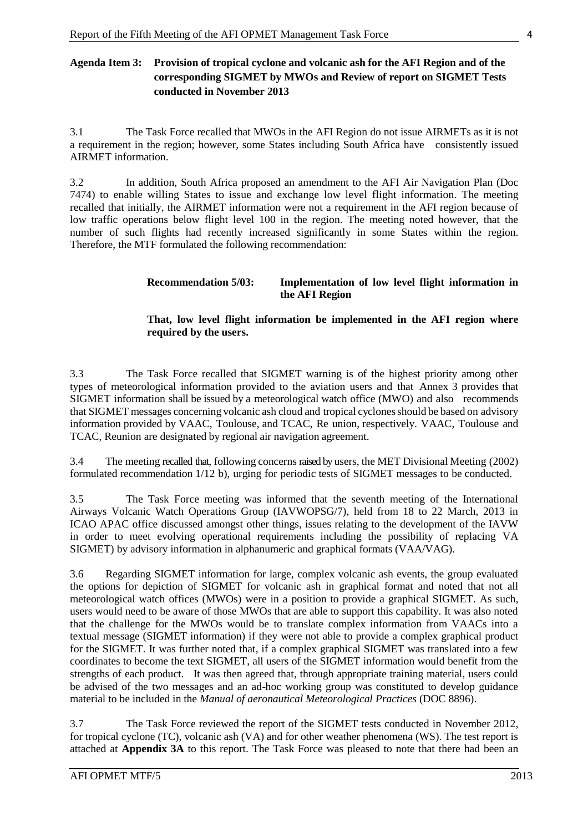# <span id="page-9-0"></span>**Agenda Item 3: Provision of tropical cyclone and volcanic ash for the AFI Region and of the corresponding SIGMET by MWOs and Review of report on SIGMET Tests conducted in November 2013**

3.1 The Task Force recalled that MWOs in the AFI Region do not issue AIRMETs as it is not a requirement in the region; however, some States including South Africa have consistently issued AIRMET information.

3.2 In addition, South Africa proposed an amendment to the AFI Air Navigation Plan (Doc 7474) to enable willing States to issue and exchange low level flight information. The meeting recalled that initially, the AIRMET information were not a requirement in the AFI region because of low traffic operations below flight level 100 in the region. The meeting noted however, that the number of such flights had recently increased significantly in some States within the region. Therefore, the MTF formulated the following recommendation:

# **Recommendation 5/03: Implementation of low level flight information in the AFI Region**

# **That, low level flight information be implemented in the AFI region where required by the users.**

3.3 The Task Force recalled that SIGMET warning is of the highest priority among other types of meteorological information provided to the aviation users and that Annex 3 provides that SIGMET information shall be issued by a meteorological watch office (MWO) and also recommends that SIGMET messages concerning volcanic ash cloud and tropical cyclonesshould be based on advisory information provided by VAAC, Toulouse, and TCAC, Re union, respectively. VAAC, Toulouse and TCAC, Reunion are designated by regional air navigation agreement.

3.4 The meeting recalled that, following concerns raised by users, the MET Divisional Meeting (2002) formulated recommendation 1/12 b), urging for periodic tests of SIGMET messages to be conducted.

3.5 The Task Force meeting was informed that the seventh meeting of the International Airways Volcanic Watch Operations Group (IAVWOPSG/7), held from 18 to 22 March, 2013 in ICAO APAC office discussed amongst other things, issues relating to the development of the IAVW in order to meet evolving operational requirements including the possibility of replacing VA SIGMET) by advisory information in alphanumeric and graphical formats (VAA/VAG).

3.6 Regarding SIGMET information for large, complex volcanic ash events, the group evaluated the options for depiction of SIGMET for volcanic ash in graphical format and noted that not all meteorological watch offices (MWOs) were in a position to provide a graphical SIGMET. As such, users would need to be aware of those MWOs that are able to support this capability. It was also noted that the challenge for the MWOs would be to translate complex information from VAACs into a textual message (SIGMET information) if they were not able to provide a complex graphical product for the SIGMET. It was further noted that, if a complex graphical SIGMET was translated into a few coordinates to become the text SIGMET, all users of the SIGMET information would benefit from the strengths of each product. It was then agreed that, through appropriate training material, users could be advised of the two messages and an ad-hoc working group was constituted to develop guidance material to be included in the *Manual of aeronautical Meteorological Practices* (DOC 8896).

3.7 The Task Force reviewed the report of the SIGMET tests conducted in November 2012, for tropical cyclone (TC), volcanic ash (VA) and for other weather phenomena (WS). The test report is attached at **Appendix 3A** to this report. The Task Force was pleased to note that there had been an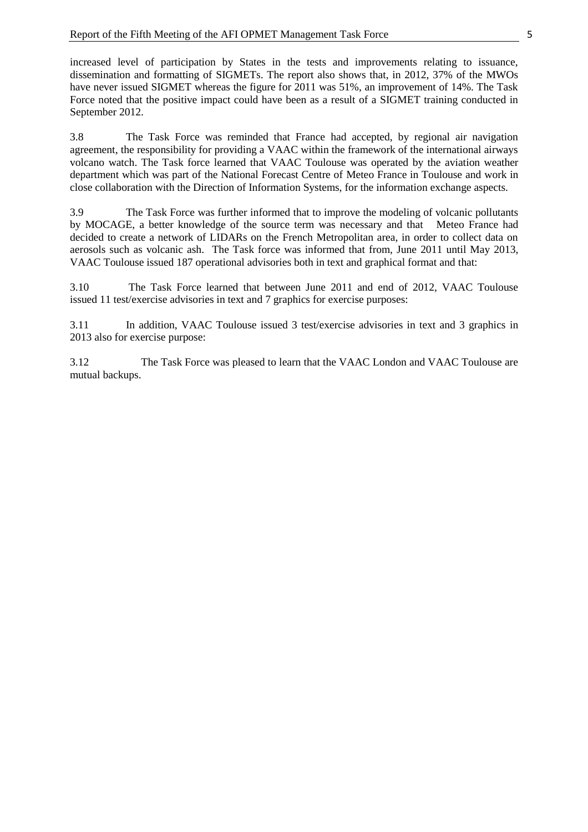increased level of participation by States in the tests and improvements relating to issuance, dissemination and formatting of SIGMETs. The report also shows that, in 2012, 37% of the MWOs have never issued SIGMET whereas the figure for 2011 was 51%, an improvement of 14%. The Task Force noted that the positive impact could have been as a result of a SIGMET training conducted in September 2012.

3.8 The Task Force was reminded that France had accepted, by regional air navigation agreement, the responsibility for providing a VAAC within the framework of the international airways volcano watch. The Task force learned that VAAC Toulouse was operated by the aviation weather department which was part of the National Forecast Centre of Meteo France in Toulouse and work in close collaboration with the Direction of Information Systems, for the information exchange aspects.

3.9 The Task Force was further informed that to improve the modeling of volcanic pollutants by MOCAGE, a better knowledge of the source term was necessary and that Meteo France had decided to create a network of LIDARs on the French Metropolitan area, in order to collect data on aerosols such as volcanic ash. The Task force was informed that from, June 2011 until May 2013, VAAC Toulouse issued 187 operational advisories both in text and graphical format and that:

3.10 The Task Force learned that between June 2011 and end of 2012, VAAC Toulouse issued 11 test/exercise advisories in text and 7 graphics for exercise purposes:

3.11 In addition, VAAC Toulouse issued 3 test/exercise advisories in text and 3 graphics in 2013 also for exercise purpose:

3.12 The Task Force was pleased to learn that the VAAC London and VAAC Toulouse are mutual backups.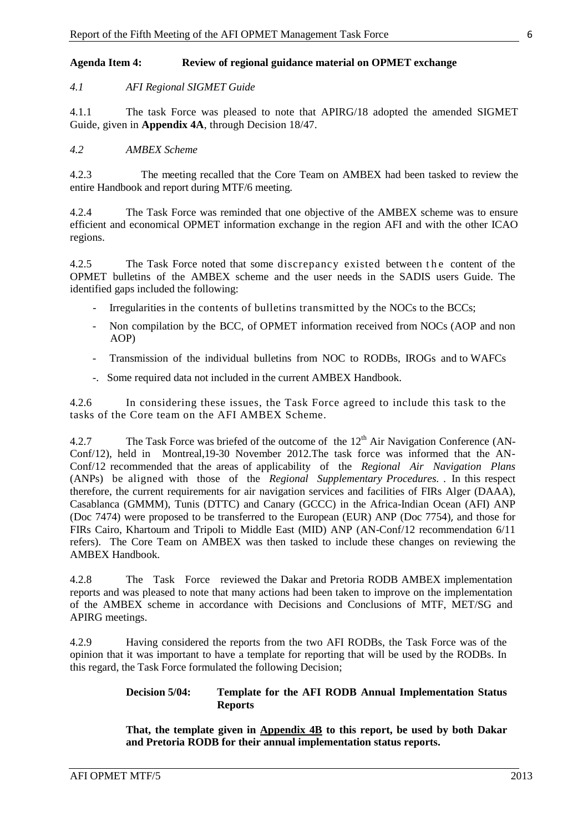## <span id="page-11-0"></span>**Agenda Item 4: Review of regional guidance material on OPMET exchange**

## *4.1 AFI Regional SIGMET Guide*

4.1.1 The task Force was pleased to note that APIRG/18 adopted the amended SIGMET Guide, given in **Appendix 4A**, through Decision 18/47.

### *4.2 AMBEX Scheme*

4.2.3 The meeting recalled that the Core Team on AMBEX had been tasked to review the entire Handbook and report during MTF/6 meeting.

4.2.4 The Task Force was reminded that one objective of the AMBEX scheme was to ensure efficient and economical OPMET information exchange in the region AFI and with the other ICAO regions.

4.2.5 The Task Force noted that some discrepancy existed between the content of the OPMET bulletins of the AMBEX scheme and the user needs in the SADIS users Guide. The identified gaps included the following:

- Irregularities in the contents of bulletins transmitted by the NOCs to the BCCs;
- Non compilation by the BCC, of OPMET information received from NOCs (AOP and non AOP)
- Transmission of the individual bulletins from NOC to RODBs, IROGs and to WAFCs
- -. Some required data not included in the current AMBEX Handbook.

4.2.6 In considering these issues, the Task Force agreed to include this task to the tasks of the Core team on the AFI AMBEX Scheme.

4.2.7 The Task Force was briefed of the outcome of the  $12<sup>th</sup>$  Air Navigation Conference (AN-Conf/12), held in Montreal,19-30 November 2012.The task force was informed that the AN-Conf/12 recommended that the areas of applicability of the *Regional Air Navigation Plans*  (ANPs) be aligned with those of the *Regional Supplementary Procedures.* . In this respect therefore, the current requirements for air navigation services and facilities of FIRs Alger (DAAA), Casablanca (GMMM), Tunis (DTTC) and Canary (GCCC) in the Africa-Indian Ocean (AFI) ANP (Doc 7474) were proposed to be transferred to the European (EUR) ANP (Doc 7754), and those for FIRs Cairo, Khartoum and Tripoli to Middle East (MID) ANP (AN-Conf/12 recommendation 6/11 refers). The Core Team on AMBEX was then tasked to include these changes on reviewing the AMBEX Handbook.

4.2.8 The Task Force reviewed the Dakar and Pretoria RODB AMBEX implementation reports and was pleased to note that many actions had been taken to improve on the implementation of the AMBEX scheme in accordance with Decisions and Conclusions of MTF, MET/SG and APIRG meetings.

4.2.9 Having considered the reports from the two AFI RODBs, the Task Force was of the opinion that it was important to have a template for reporting that will be used by the RODBs. In this regard, the Task Force formulated the following Decision;

#### **Decision 5/04: Template for the AFI RODB Annual Implementation Status Reports**

**That, the template given in Appendix 4B to this report, be used by both Dakar and Pretoria RODB for their annual implementation status reports.**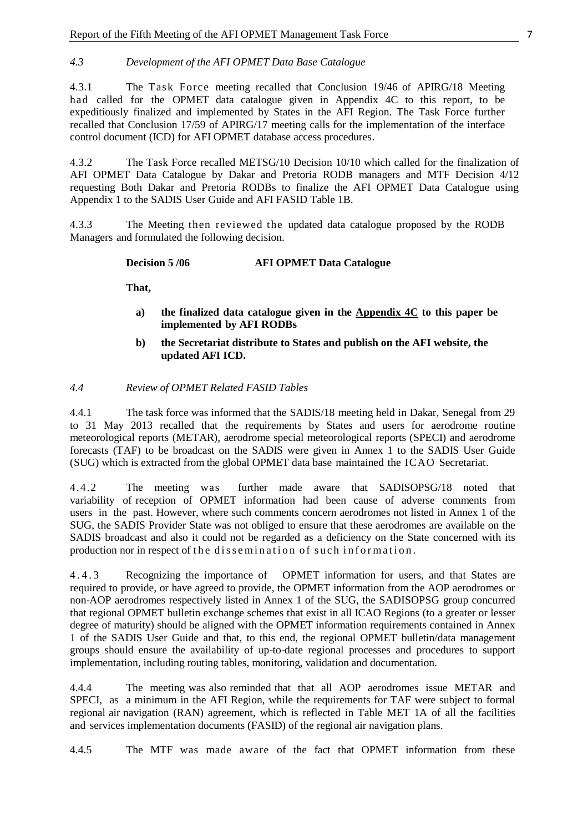# *4.3 Development of the AFI OPMET Data Base Catalogue*

4.3.1 The Task Force meeting recalled that Conclusion 19/46 of APIRG/18 Meeting had called for the OPMET data catalogue given in Appendix 4C to this report, to be expeditiously finalized and implemented by States in the AFI Region. The Task Force further recalled that Conclusion 17/59 of APIRG/17 meeting calls for the implementation of the interface control document (ICD) for AFI OPMET database access procedures.

4.3.2 The Task Force recalled METSG/10 Decision 10/10 which called for the finalization of AFI OPMET Data Catalogue by Dakar and Pretoria RODB managers and MTF Decision 4/12 requesting Both Dakar and Pretoria RODBs to finalize the AFI OPMET Data Catalogue using Appendix 1 to the SADIS User Guide and AFI FASID Table 1B.

4.3.3 The Meeting then reviewed the updated data catalogue proposed by the RODB Managers and formulated the following decision.

**Decision 5 /06 AFI OPMET Data Catalogue**

**That,**

- **a) the finalized data catalogue given in the Appendix 4C to this paper be implemented by AFI RODBs**
- **b) the Secretariat distribute to States and publish on the AFI website, the updated AFI ICD.**

#### *4.4 Review of OPMET Related FASID Tables*

4.4.1 The task force was informed that the SADIS/18 meeting held in Dakar, Senegal from 29 to 31 May 2013 recalled that the requirements by States and users for aerodrome routine meteorological reports (METAR), aerodrome special meteorological reports (SPECI) and aerodrome forecasts (TAF) to be broadcast on the SADIS were given in Annex 1 to the SADIS User Guide (SUG) which is extracted from the global OPMET data base maintained the ICAO Secretariat.

4.4.2 The meeting was further made aware that SADISOPSG/18 noted that variability of reception of OPMET information had been cause of adverse comments from users in the past. However, where such comments concern aerodromes not listed in Annex 1 of the SUG, the SADIS Provider State was not obliged to ensure that these aerodromes are available on the SADIS broadcast and also it could not be regarded as a deficiency on the State concerned with its production nor in respect of the dissemination of such information.

4.4.3 Recognizing the importance of OPMET information for users, and that States are required to provide, or have agreed to provide, the OPMET information from the AOP aerodromes or non-AOP aerodromes respectively listed in Annex 1 of the SUG, the SADISOPSG group concurred that regional OPMET bulletin exchange schemes that exist in all ICAO Regions (to a greater or lesser degree of maturity) should be aligned with the OPMET information requirements contained in Annex 1 of the SADIS User Guide and that, to this end, the regional OPMET bulletin/data management groups should ensure the availability of up-to-date regional processes and procedures to support implementation, including routing tables, monitoring, validation and documentation.

4.4.4 The meeting was also reminded that that all AOP aerodromes issue METAR and SPECI, as a minimum in the AFI Region, while the requirements for TAF were subject to formal regional air navigation (RAN) agreement, which is reflected in Table MET 1A of all the facilities and services implementation documents (FASID) of the regional air navigation plans.

4.4.5 The MTF was made aware of the fact that OPMET information from these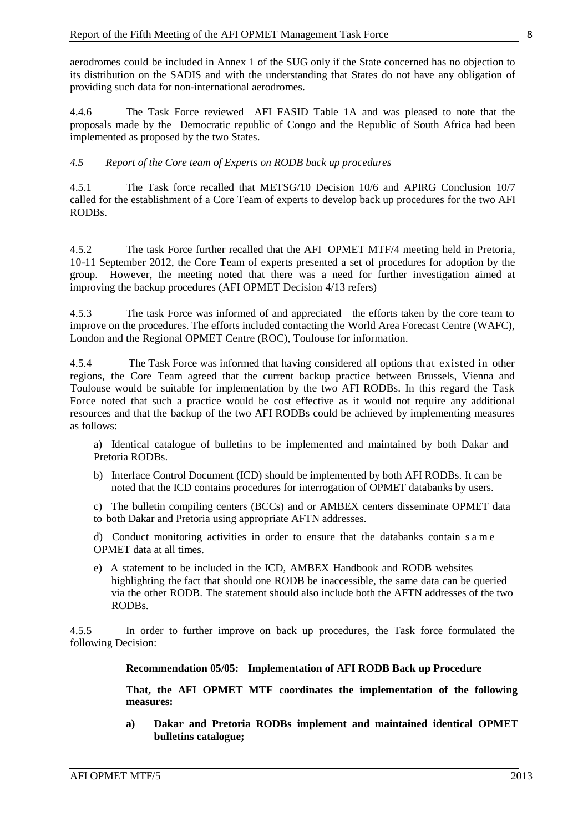aerodromes could be included in Annex 1 of the SUG only if the State concerned has no objection to its distribution on the SADIS and with the understanding that States do not have any obligation of providing such data for non-international aerodromes.

4.4.6 The Task Force reviewed AFI FASID Table 1A and was pleased to note that the proposals made by the Democratic republic of Congo and the Republic of South Africa had been implemented as proposed by the two States.

### *4.5 Report of the Core team of Experts on RODB back up procedures*

4.5.1 The Task force recalled that METSG/10 Decision 10/6 and APIRG Conclusion 10/7 called for the establishment of a Core Team of experts to develop back up procedures for the two AFI RODBs.

4.5.2 The task Force further recalled that the AFI OPMET MTF/4 meeting held in Pretoria, 10-11 September 2012, the Core Team of experts presented a set of procedures for adoption by the group. However, the meeting noted that there was a need for further investigation aimed at improving the backup procedures (AFI OPMET Decision 4/13 refers)

4.5.3 The task Force was informed of and appreciated the efforts taken by the core team to improve on the procedures. The efforts included contacting the World Area Forecast Centre (WAFC), London and the Regional OPMET Centre (ROC), Toulouse for information.

4.5.4 The Task Force was informed that having considered all options that existed in other regions, the Core Team agreed that the current backup practice between Brussels, Vienna and Toulouse would be suitable for implementation by the two AFI RODBs. In this regard the Task Force noted that such a practice would be cost effective as it would not require any additional resources and that the backup of the two AFI RODBs could be achieved by implementing measures as follows:

a) Identical catalogue of bulletins to be implemented and maintained by both Dakar and Pretoria RODBs.

b) Interface Control Document (ICD) should be implemented by both AFI RODBs. It can be noted that the ICD contains procedures for interrogation of OPMET databanks by users.

c) The bulletin compiling centers (BCCs) and or AMBEX centers disseminate OPMET data to both Dakar and Pretoria using appropriate AFTN addresses.

d) Conduct monitoring activities in order to ensure that the databanks contain s a m e OPMET data at all times.

e) A statement to be included in the ICD, AMBEX Handbook and RODB websites highlighting the fact that should one RODB be inaccessible, the same data can be queried via the other RODB. The statement should also include both the AFTN addresses of the two RODBs.

4.5.5 In order to further improve on back up procedures, the Task force formulated the following Decision:

#### **Recommendation 05/05: Implementation of AFI RODB Back up Procedure**

**That, the AFI OPMET MTF coordinates the implementation of the following measures:**

**a) Dakar and Pretoria RODBs implement and maintained identical OPMET bulletins catalogue;**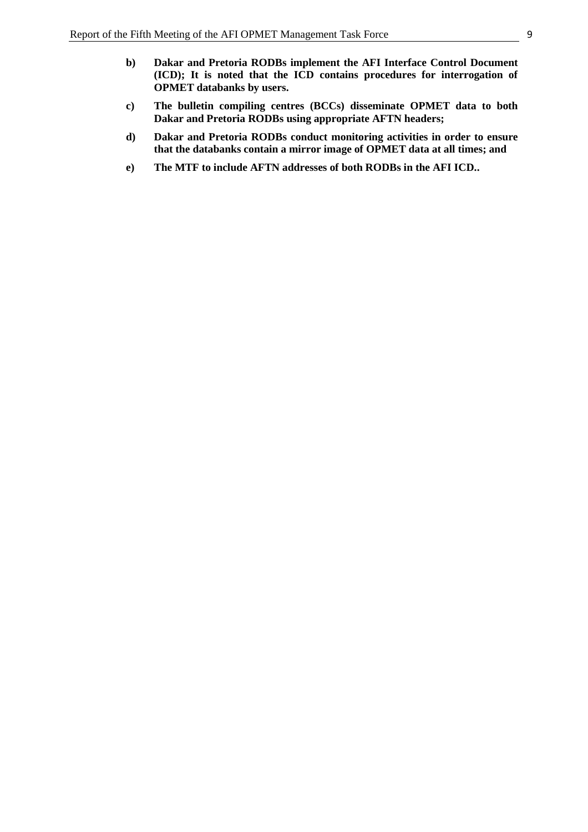- **c) The bulletin compiling centres (BCCs) disseminate OPMET data to both Dakar and Pretoria RODBs using appropriate AFTN headers;**
- **d) Dakar and Pretoria RODBs conduct monitoring activities in order to ensure that the databanks contain a mirror image of OPMET data at all times; and**
- **e) The MTF to include AFTN addresses of both RODBs in the AFI ICD..**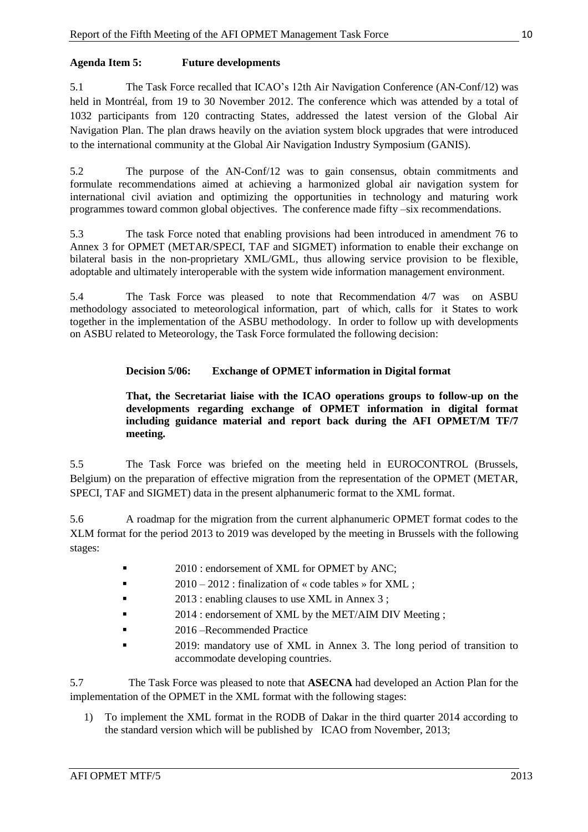# <span id="page-15-0"></span>**Agenda Item 5: Future developments**

<span id="page-15-1"></span>5.1 The Task Force recalled that ICAO's 12th Air Navigation Conference (AN-Conf/12) was held in Montréal, from 19 to 30 November 2012. The conference which was attended by a total of 1032 participants from 120 contracting States, addressed the latest version of the Global Air Navigation Plan. The plan draws heavily on the aviation system block upgrades that were introduced to the international community at the Global Air Navigation Industry Symposium (GANIS).

5.2 The purpose of the AN-Conf/12 was to gain consensus, obtain commitments and formulate recommendations aimed at achieving a harmonized global air navigation system for international civil aviation and optimizing the opportunities in technology and maturing work programmes toward common global objectives. The conference made fifty –six recommendations.

5.3 The task Force noted that enabling provisions had been introduced in amendment 76 to Annex 3 for OPMET (METAR/SPECI, TAF and SIGMET) information to enable their exchange on bilateral basis in the non-proprietary XML/GML, thus allowing service provision to be flexible, adoptable and ultimately interoperable with the system wide information management environment.

5.4 The Task Force was pleased to note that Recommendation 4/7 was on ASBU methodology associated to meteorological information, part of which, calls for it States to work together in the implementation of the ASBU methodology. In order to follow up with developments on ASBU related to Meteorology, the Task Force formulated the following decision:

# **Decision 5/06: Exchange of OPMET information in Digital format**

**That, the Secretariat liaise with the ICAO operations groups to follow-up on the developments regarding exchange of OPMET information in digital format including guidance material and report back during the AFI OPMET/M TF/7 meeting.**

5.5 The Task Force was briefed on the meeting held in EUROCONTROL (Brussels, Belgium) on the preparation of effective migration from the representation of the OPMET (METAR, SPECI, TAF and SIGMET) data in the present alphanumeric format to the XML format.

5.6 A roadmap for the migration from the current alphanumeric OPMET format codes to the XLM format for the period 2013 to 2019 was developed by the meeting in Brussels with the following stages:

- <sup>2010</sup> : endorsement of XML for OPMET by ANC;
- $\blacksquare$  2010 2012 : finalization of « code tables » for XML ;
- 2013 : enabling clauses to use XML in Annex 3 ;
- **2014 : endorsement of XML by the MET/AIM DIV Meeting ;**
- **2016** Recommended Practice
- 2019: mandatory use of XML in Annex 3. The long period of transition to accommodate developing countries.

5.7 The Task Force was pleased to note that **ASECNA** had developed an Action Plan for the implementation of the OPMET in the XML format with the following stages:

1) To implement the XML format in the RODB of Dakar in the third quarter 2014 according to the standard version which will be published by ICAO from November, 2013;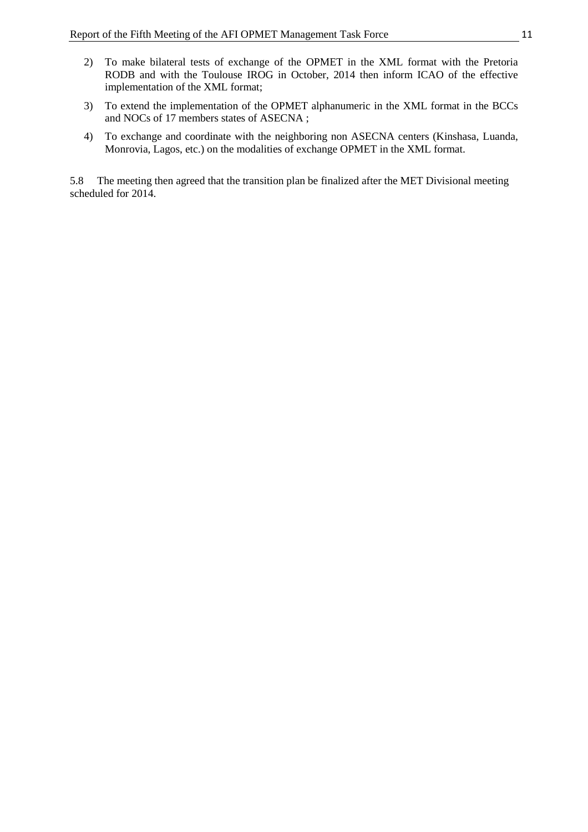- 2) To make bilateral tests of exchange of the OPMET in the XML format with the Pretoria RODB and with the Toulouse IROG in October, 2014 then inform ICAO of the effective implementation of the XML format;
- 3) To extend the implementation of the OPMET alphanumeric in the XML format in the BCCs and NOCs of 17 members states of ASECNA ;
- 4) To exchange and coordinate with the neighboring non ASECNA centers (Kinshasa, Luanda, Monrovia, Lagos, etc.) on the modalities of exchange OPMET in the XML format.

5.8 The meeting then agreed that the transition plan be finalized after the MET Divisional meeting scheduled for 2014.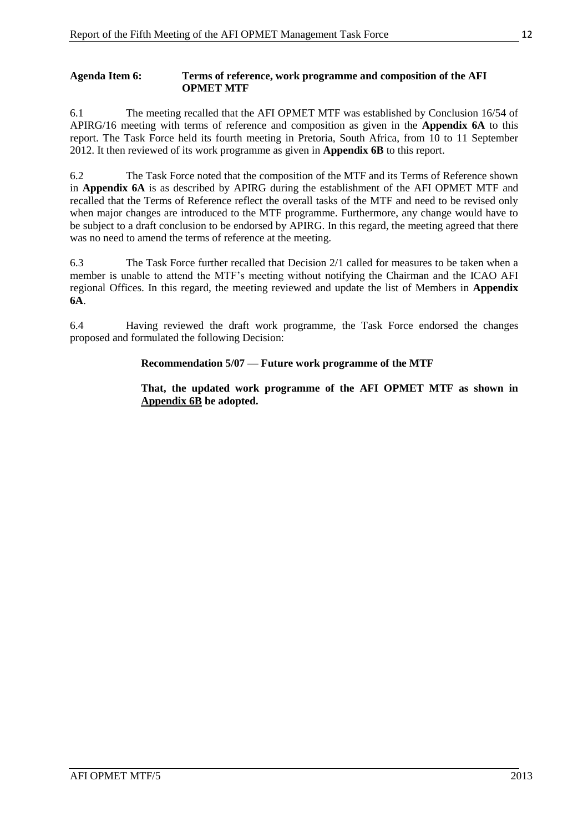### **Agenda Item 6: Terms of reference, work programme and composition of the AFI OPMET MTF**

6.1 The meeting recalled that the AFI OPMET MTF was established by Conclusion 16/54 of APIRG/16 meeting with terms of reference and composition as given in the **Appendix 6A** to this report. The Task Force held its fourth meeting in Pretoria, South Africa, from 10 to 11 September 2012. It then reviewed of its work programme as given in **Appendix 6B** to this report.

6.2 The Task Force noted that the composition of the MTF and its Terms of Reference shown in **Appendix 6A** is as described by APIRG during the establishment of the AFI OPMET MTF and recalled that the Terms of Reference reflect the overall tasks of the MTF and need to be revised only when major changes are introduced to the MTF programme. Furthermore, any change would have to be subject to a draft conclusion to be endorsed by APIRG. In this regard, the meeting agreed that there was no need to amend the terms of reference at the meeting.

6.3 The Task Force further recalled that Decision 2/1 called for measures to be taken when a member is unable to attend the MTF's meeting without notifying the Chairman and the ICAO AFI regional Offices. In this regard, the meeting reviewed and update the list of Members in **Appendix 6A**.

6.4 Having reviewed the draft work programme, the Task Force endorsed the changes proposed and formulated the following Decision:

# **Recommendation 5/07 — Future work programme of the MTF**

**That, the updated work programme of the AFI OPMET MTF as shown in Appendix 6B be adopted.**